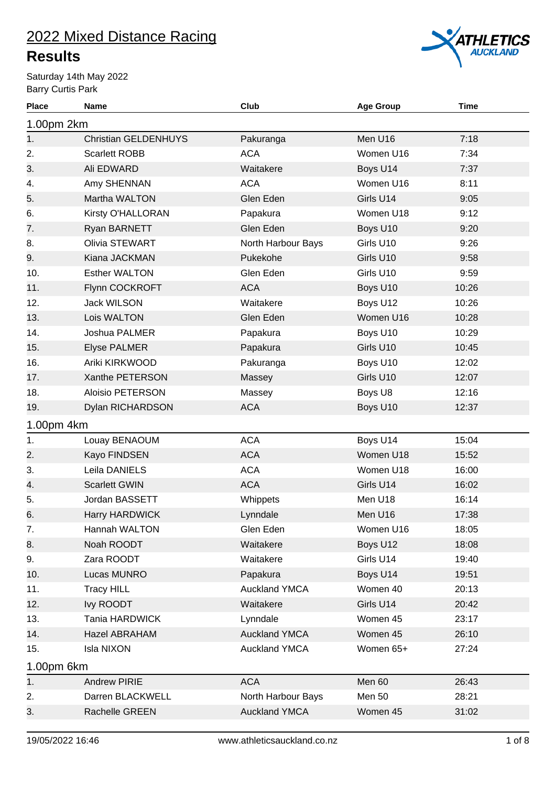### **Results**

Saturday 14th May 2022 Barry Curtis Park



| <b>Place</b> | Name                        | Club                 | <b>Age Group</b> | Time  |
|--------------|-----------------------------|----------------------|------------------|-------|
| 1.00pm 2km   |                             |                      |                  |       |
| 1.           | <b>Christian GELDENHUYS</b> | Pakuranga            | Men U16          | 7:18  |
| 2.           | <b>Scarlett ROBB</b>        | <b>ACA</b>           | Women U16        | 7:34  |
| 3.           | Ali EDWARD                  | Waitakere            | Boys U14         | 7:37  |
| 4.           | Amy SHENNAN                 | <b>ACA</b>           | Women U16        | 8:11  |
| 5.           | Martha WALTON               | Glen Eden            | Girls U14        | 9:05  |
| 6.           | Kirsty O'HALLORAN           | Papakura             | Women U18        | 9:12  |
| 7.           | Ryan BARNETT                | Glen Eden            | Boys U10         | 9:20  |
| 8.           | Olivia STEWART              | North Harbour Bays   | Girls U10        | 9:26  |
| 9.           | Kiana JACKMAN               | Pukekohe             | Girls U10        | 9:58  |
| 10.          | <b>Esther WALTON</b>        | Glen Eden            | Girls U10        | 9:59  |
| 11.          | Flynn COCKROFT              | <b>ACA</b>           | Boys U10         | 10:26 |
| 12.          | <b>Jack WILSON</b>          | Waitakere            | Boys U12         | 10:26 |
| 13.          | Lois WALTON                 | Glen Eden            | Women U16        | 10:28 |
| 14.          | Joshua PALMER               | Papakura             | Boys U10         | 10:29 |
| 15.          | <b>Elyse PALMER</b>         | Papakura             | Girls U10        | 10:45 |
| 16.          | Ariki KIRKWOOD              | Pakuranga            | Boys U10         | 12:02 |
| 17.          | Xanthe PETERSON             | Massey               | Girls U10        | 12:07 |
| 18.          | <b>Aloisio PETERSON</b>     | Massey               | Boys U8          | 12:16 |
| 19.          | Dylan RICHARDSON            | <b>ACA</b>           | Boys U10         | 12:37 |
| 1.00pm 4km   |                             |                      |                  |       |
| 1.           | Louay BENAOUM               | <b>ACA</b>           | Boys U14         | 15:04 |
| 2.           | Kayo FINDSEN                | <b>ACA</b>           | Women U18        | 15:52 |
| 3.           | Leila DANIELS               | <b>ACA</b>           | Women U18        | 16:00 |
| 4.           | <b>Scarlett GWIN</b>        | <b>ACA</b>           | Girls U14        | 16:02 |
| 5.           | Jordan BASSETT              | Whippets             | Men U18          | 16:14 |
| 6.           | <b>Harry HARDWICK</b>       | Lynndale             | Men U16          | 17:38 |
| 7.           | Hannah WALTON               | Glen Eden            | Women U16        | 18:05 |
| 8.           | Noah ROODT                  | Waitakere            | Boys U12         | 18:08 |
| 9.           | Zara ROODT                  | Waitakere            | Girls U14        | 19:40 |
| 10.          | Lucas MUNRO                 | Papakura             | Boys U14         | 19:51 |
| 11.          | <b>Tracy HILL</b>           | <b>Auckland YMCA</b> | Women 40         | 20:13 |
| 12.          | Ivy ROODT                   | Waitakere            | Girls U14        | 20:42 |
| 13.          | Tania HARDWICK              | Lynndale             | Women 45         | 23:17 |
| 14.          | Hazel ABRAHAM               | <b>Auckland YMCA</b> | Women 45         | 26:10 |
| 15.          | Isla NIXON                  | <b>Auckland YMCA</b> | Women 65+        | 27:24 |
| 1.00pm 6km   |                             |                      |                  |       |
| 1.           | <b>Andrew PIRIE</b>         | <b>ACA</b>           | Men 60           | 26:43 |
| 2.           | Darren BLACKWELL            | North Harbour Bays   | Men 50           | 28:21 |
| 3.           | Rachelle GREEN              | <b>Auckland YMCA</b> | Women 45         | 31:02 |
|              |                             |                      |                  |       |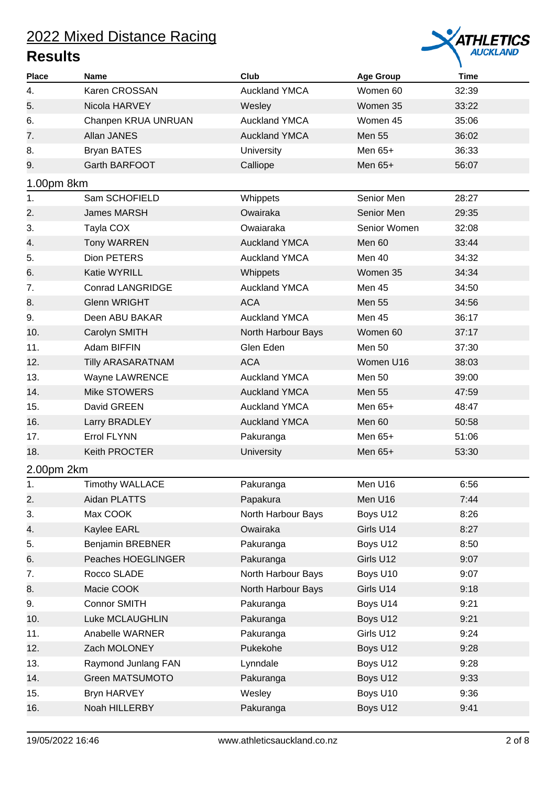

| <b>Place</b> | <b>Name</b>              | Club                 | <b>Age Group</b> | <b>Time</b> |
|--------------|--------------------------|----------------------|------------------|-------------|
| 4.           | Karen CROSSAN            | <b>Auckland YMCA</b> | Women 60         | 32:39       |
| 5.           | Nicola HARVEY            | Wesley               | Women 35         | 33:22       |
| 6.           | Chanpen KRUA UNRUAN      | <b>Auckland YMCA</b> | Women 45         | 35:06       |
| 7.           | Allan JANES              | <b>Auckland YMCA</b> | <b>Men 55</b>    | 36:02       |
| 8.           | <b>Bryan BATES</b>       | <b>University</b>    | Men 65+          | 36:33       |
| 9.           | Garth BARFOOT            | Calliope             | Men $65+$        | 56:07       |
| 1.00pm 8km   |                          |                      |                  |             |
| 1.           | Sam SCHOFIELD            | Whippets             | Senior Men       | 28:27       |
| 2.           | <b>James MARSH</b>       | Owairaka             | Senior Men       | 29:35       |
| 3.           | Tayla COX                | Owaiaraka            | Senior Women     | 32:08       |
| 4.           | <b>Tony WARREN</b>       | <b>Auckland YMCA</b> | Men 60           | 33:44       |
| 5.           | Dion PETERS              | <b>Auckland YMCA</b> | <b>Men 40</b>    | 34:32       |
| 6.           | Katie WYRILL             | Whippets             | Women 35         | 34:34       |
| 7.           | <b>Conrad LANGRIDGE</b>  | <b>Auckland YMCA</b> | Men 45           | 34:50       |
| 8.           | <b>Glenn WRIGHT</b>      | <b>ACA</b>           | <b>Men 55</b>    | 34:56       |
| 9.           | Deen ABU BAKAR           | <b>Auckland YMCA</b> | Men 45           | 36:17       |
| 10.          | Carolyn SMITH            | North Harbour Bays   | Women 60         | 37:17       |
| 11.          | Adam BIFFIN              | Glen Eden            | <b>Men 50</b>    | 37:30       |
| 12.          | <b>Tilly ARASARATNAM</b> | <b>ACA</b>           | Women U16        | 38:03       |
| 13.          | Wayne LAWRENCE           | <b>Auckland YMCA</b> | <b>Men 50</b>    | 39:00       |
| 14.          | Mike STOWERS             | <b>Auckland YMCA</b> | <b>Men 55</b>    | 47:59       |
| 15.          | David GREEN              | <b>Auckland YMCA</b> | Men 65+          | 48:47       |
| 16.          | Larry BRADLEY            | <b>Auckland YMCA</b> | Men 60           | 50:58       |
| 17.          | <b>Errol FLYNN</b>       | Pakuranga            | Men $65+$        | 51:06       |
| 18.          | Keith PROCTER            | <b>University</b>    | Men $65+$        | 53:30       |
| 2.00pm 2km   |                          |                      |                  |             |
| 1.           | <b>Timothy WALLACE</b>   | Pakuranga            | Men U16          | 6:56        |
| 2.           | Aidan PLATTS             | Papakura             | Men U16          | 7:44        |
| 3.           | Max COOK                 | North Harbour Bays   | Boys U12         | 8:26        |
| 4.           | Kaylee EARL              | Owairaka             | Girls U14        | 8:27        |
| 5.           | <b>Benjamin BREBNER</b>  | Pakuranga            | Boys U12         | 8:50        |
| 6.           | Peaches HOEGLINGER       | Pakuranga            | Girls U12        | 9:07        |
| 7.           | Rocco SLADE              | North Harbour Bays   | Boys U10         | 9:07        |
| 8.           | Macie COOK               | North Harbour Bays   | Girls U14        | 9:18        |
| 9.           | Connor SMITH             | Pakuranga            | Boys U14         | 9:21        |
| 10.          | Luke MCLAUGHLIN          | Pakuranga            | Boys U12         | 9:21        |
| 11.          | Anabelle WARNER          | Pakuranga            | Girls U12        | 9:24        |
| 12.          | Zach MOLONEY             | Pukekohe             | Boys U12         | 9:28        |
| 13.          | Raymond Junlang FAN      | Lynndale             | Boys U12         | 9:28        |
| 14.          | Green MATSUMOTO          | Pakuranga            | Boys U12         | 9:33        |
| 15.          | Bryn HARVEY              | Wesley               | Boys U10         | 9:36        |
| 16.          | Noah HILLERBY            | Pakuranga            | Boys U12         | 9:41        |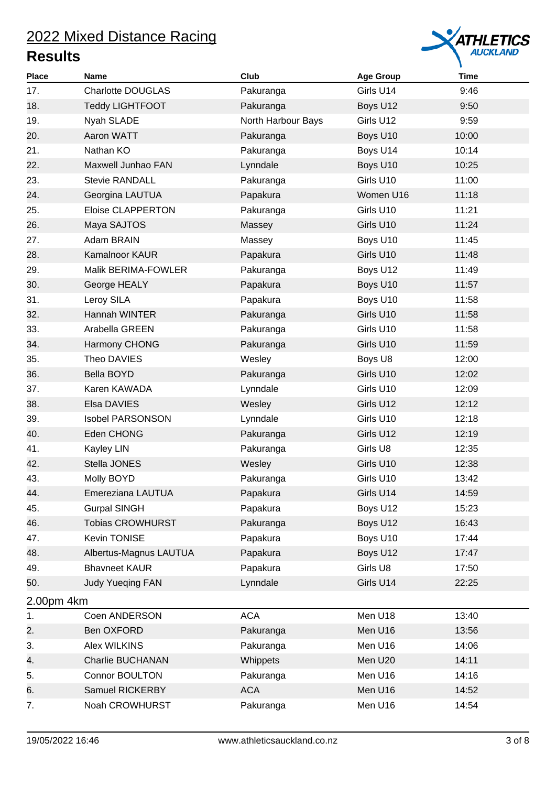

| <b>Place</b> | <b>Name</b>              | Club               | <b>Age Group</b> | <b>Time</b> |
|--------------|--------------------------|--------------------|------------------|-------------|
| 17.          | <b>Charlotte DOUGLAS</b> | Pakuranga          | Girls U14        | 9:46        |
| 18.          | <b>Teddy LIGHTFOOT</b>   | Pakuranga          | Boys U12         | 9:50        |
| 19.          | Nyah SLADE               | North Harbour Bays | Girls U12        | 9:59        |
| 20.          | Aaron WATT               | Pakuranga          | Boys U10         | 10:00       |
| 21.          | Nathan KO                | Pakuranga          | Boys U14         | 10:14       |
| 22.          | Maxwell Junhao FAN       | Lynndale           | Boys U10         | 10:25       |
| 23.          | <b>Stevie RANDALL</b>    | Pakuranga          | Girls U10        | 11:00       |
| 24.          | Georgina LAUTUA          | Papakura           | Women U16        | 11:18       |
| 25.          | <b>Eloise CLAPPERTON</b> | Pakuranga          | Girls U10        | 11:21       |
| 26.          | Maya SAJTOS              | Massey             | Girls U10        | 11:24       |
| 27.          | Adam BRAIN               | Massey             | Boys U10         | 11:45       |
| 28.          | Kamalnoor KAUR           | Papakura           | Girls U10        | 11:48       |
| 29.          | Malik BERIMA-FOWLER      | Pakuranga          | Boys U12         | 11:49       |
| 30.          | George HEALY             | Papakura           | Boys U10         | 11:57       |
| 31.          | Leroy SILA               | Papakura           | Boys U10         | 11:58       |
| 32.          | Hannah WINTER            | Pakuranga          | Girls U10        | 11:58       |
| 33.          | Arabella GREEN           | Pakuranga          | Girls U10        | 11:58       |
| 34.          | Harmony CHONG            | Pakuranga          | Girls U10        | 11:59       |
| 35.          | Theo DAVIES              | Wesley             | Boys U8          | 12:00       |
| 36.          | Bella BOYD               | Pakuranga          | Girls U10        | 12:02       |
| 37.          | Karen KAWADA             | Lynndale           | Girls U10        | 12:09       |
| 38.          | Elsa DAVIES              | Wesley             | Girls U12        | 12:12       |
| 39.          | <b>Isobel PARSONSON</b>  | Lynndale           | Girls U10        | 12:18       |
| 40.          | Eden CHONG               | Pakuranga          | Girls U12        | 12:19       |
| 41.          | Kayley LIN               | Pakuranga          | Girls U8         | 12:35       |
| 42.          | Stella JONES             | Wesley             | Girls U10        | 12:38       |
| 43.          | Molly BOYD               | Pakuranga          | Girls U10        | 13:42       |
| 44.          | Emereziana LAUTUA        | Papakura           | Girls U14        | 14:59       |
| 45.          | <b>Gurpal SINGH</b>      | Papakura           | Boys U12         | 15:23       |
| 46.          | <b>Tobias CROWHURST</b>  | Pakuranga          | Boys U12         | 16:43       |
| 47.          | Kevin TONISE             | Papakura           | Boys U10         | 17:44       |
| 48.          | Albertus-Magnus LAUTUA   | Papakura           | Boys U12         | 17:47       |
| 49.          | <b>Bhavneet KAUR</b>     | Papakura           | Girls U8         | 17:50       |
| 50.          | <b>Judy Yueqing FAN</b>  | Lynndale           | Girls U14        | 22:25       |
| 2.00pm 4km   |                          |                    |                  |             |
| 1.           | Coen ANDERSON            | <b>ACA</b>         | Men U18          | 13:40       |
| 2.           | Ben OXFORD               | Pakuranga          | Men U16          | 13:56       |
| 3.           | Alex WILKINS             | Pakuranga          | Men U16          | 14:06       |
| 4.           | <b>Charlie BUCHANAN</b>  | Whippets           | Men U20          | 14:11       |
| 5.           | Connor BOULTON           | Pakuranga          | Men U16          | 14:16       |
| 6.           | Samuel RICKERBY          | <b>ACA</b>         | Men U16          | 14:52       |
| 7.           | Noah CROWHURST           | Pakuranga          | Men U16          | 14:54       |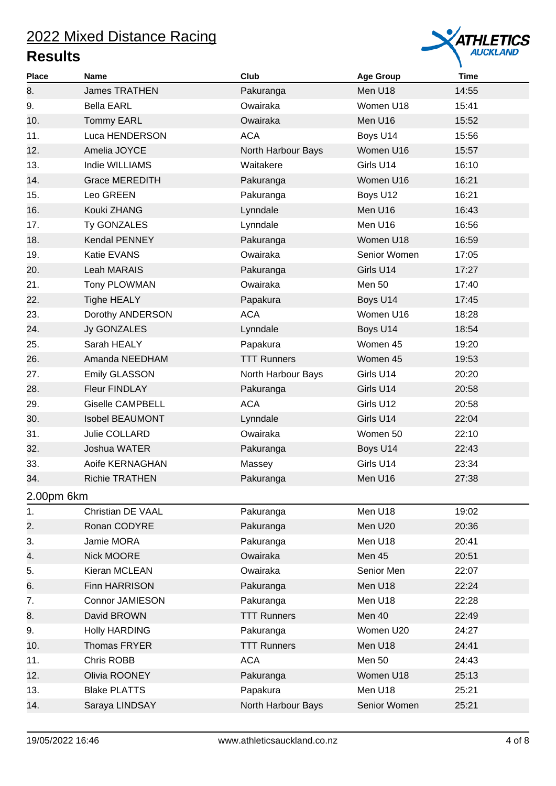

| <b>Place</b> | <b>Name</b>             | Club               | <b>Age Group</b> | <b>Time</b> |
|--------------|-------------------------|--------------------|------------------|-------------|
| 8.           | <b>James TRATHEN</b>    | Pakuranga          | Men U18          | 14:55       |
| 9.           | <b>Bella EARL</b>       | Owairaka           | Women U18        | 15:41       |
| 10.          | <b>Tommy EARL</b>       | Owairaka           | Men U16          | 15:52       |
| 11.          | Luca HENDERSON          | <b>ACA</b>         | Boys U14         | 15:56       |
| 12.          | Amelia JOYCE            | North Harbour Bays | Women U16        | 15:57       |
| 13.          | Indie WILLIAMS          | Waitakere          | Girls U14        | 16:10       |
| 14.          | <b>Grace MEREDITH</b>   | Pakuranga          | Women U16        | 16:21       |
| 15.          | Leo GREEN               | Pakuranga          | Boys U12         | 16:21       |
| 16.          | Kouki ZHANG             | Lynndale           | Men U16          | 16:43       |
| 17.          | Ty GONZALES             | Lynndale           | Men U16          | 16:56       |
| 18.          | <b>Kendal PENNEY</b>    | Pakuranga          | Women U18        | 16:59       |
| 19.          | Katie EVANS             | Owairaka           | Senior Women     | 17:05       |
| 20.          | Leah MARAIS             | Pakuranga          | Girls U14        | 17:27       |
| 21.          | Tony PLOWMAN            | Owairaka           | <b>Men 50</b>    | 17:40       |
| 22.          | <b>Tighe HEALY</b>      | Papakura           | Boys U14         | 17:45       |
| 23.          | Dorothy ANDERSON        | <b>ACA</b>         | Women U16        | 18:28       |
| 24.          | Jy GONZALES             | Lynndale           | Boys U14         | 18:54       |
| 25.          | Sarah HEALY             | Papakura           | Women 45         | 19:20       |
| 26.          | Amanda NEEDHAM          | <b>TTT Runners</b> | Women 45         | 19:53       |
| 27.          | <b>Emily GLASSON</b>    | North Harbour Bays | Girls U14        | 20:20       |
| 28.          | Fleur FINDLAY           | Pakuranga          | Girls U14        | 20:58       |
| 29.          | <b>Giselle CAMPBELL</b> | <b>ACA</b>         | Girls U12        | 20:58       |
| 30.          | <b>Isobel BEAUMONT</b>  | Lynndale           | Girls U14        | 22:04       |
| 31.          | Julie COLLARD           | Owairaka           | Women 50         | 22:10       |
| 32.          | Joshua WATER            | Pakuranga          | Boys U14         | 22:43       |
| 33.          | Aoife KERNAGHAN         | Massey             | Girls U14        | 23:34       |
| 34.          | <b>Richie TRATHEN</b>   | Pakuranga          | Men U16          | 27:38       |
| 2.00pm 6km   |                         |                    |                  |             |
| 1.           | Christian DE VAAL       | Pakuranga          | Men U18          | 19:02       |
| 2.           | Ronan CODYRE            | Pakuranga          | Men U20          | 20:36       |
| 3.           | Jamie MORA              | Pakuranga          | Men U18          | 20:41       |
| 4.           | Nick MOORE              | Owairaka           | Men 45           | 20:51       |
| 5.           | Kieran MCLEAN           | Owairaka           | Senior Men       | 22:07       |
| 6.           | Finn HARRISON           | Pakuranga          | Men U18          | 22:24       |
| 7.           | <b>Connor JAMIESON</b>  | Pakuranga          | Men U18          | 22:28       |
| 8.           | David BROWN             | <b>TTT Runners</b> | Men 40           | 22:49       |
| 9.           | <b>Holly HARDING</b>    | Pakuranga          | Women U20        | 24:27       |
| 10.          | Thomas FRYER            | <b>TTT Runners</b> | Men U18          | 24:41       |
| 11.          | Chris ROBB              | <b>ACA</b>         | <b>Men 50</b>    | 24:43       |
| 12.          | Olivia ROONEY           | Pakuranga          | Women U18        | 25:13       |
| 13.          | <b>Blake PLATTS</b>     | Papakura           | Men U18          | 25:21       |
| 14.          | Saraya LINDSAY          | North Harbour Bays | Senior Women     | 25:21       |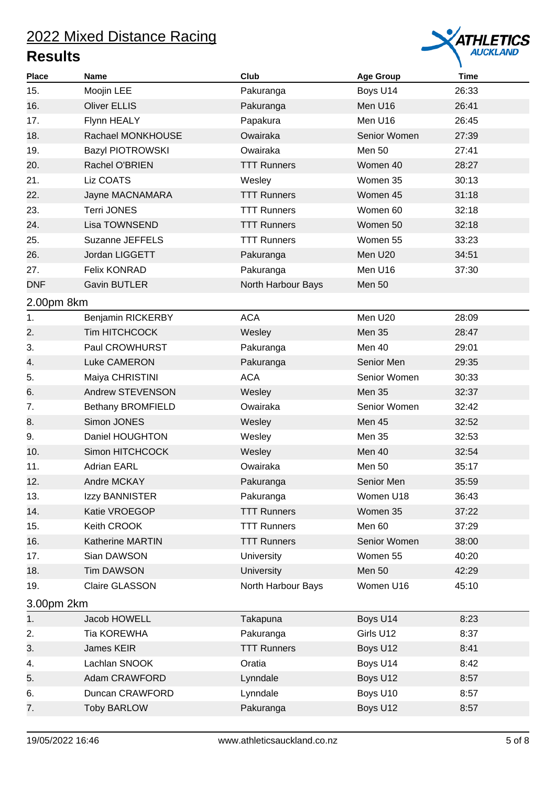

| <b>Place</b> | <b>Name</b>              | Club               | <b>Age Group</b> | <b>Time</b> |
|--------------|--------------------------|--------------------|------------------|-------------|
| 15.          | Moojin LEE               | Pakuranga          | Boys U14         | 26:33       |
| 16.          | <b>Oliver ELLIS</b>      | Pakuranga          | Men U16          | 26:41       |
| 17.          | Flynn HEALY              | Papakura           | Men U16          | 26:45       |
| 18.          | Rachael MONKHOUSE        | Owairaka           | Senior Women     | 27:39       |
| 19.          | <b>Bazyl PIOTROWSKI</b>  | Owairaka           | Men 50           | 27:41       |
| 20.          | Rachel O'BRIEN           | <b>TTT Runners</b> | Women 40         | 28:27       |
| 21.          | Liz COATS                | Wesley             | Women 35         | 30:13       |
| 22.          | Jayne MACNAMARA          | <b>TTT Runners</b> | Women 45         | 31:18       |
| 23.          | <b>Terri JONES</b>       | <b>TTT Runners</b> | Women 60         | 32:18       |
| 24.          | Lisa TOWNSEND            | <b>TTT Runners</b> | Women 50         | 32:18       |
| 25.          | Suzanne JEFFELS          | <b>TTT Runners</b> | Women 55         | 33:23       |
| 26.          | Jordan LIGGETT           | Pakuranga          | Men U20          | 34:51       |
| 27.          | <b>Felix KONRAD</b>      | Pakuranga          | Men U16          | 37:30       |
| <b>DNF</b>   | Gavin BUTLER             | North Harbour Bays | <b>Men 50</b>    |             |
| 2.00pm 8km   |                          |                    |                  |             |
| 1.           | Benjamin RICKERBY        | <b>ACA</b>         | Men U20          | 28:09       |
| 2.           | <b>Tim HITCHCOCK</b>     | Wesley             | Men 35           | 28:47       |
| 3.           | Paul CROWHURST           | Pakuranga          | Men 40           | 29:01       |
| 4.           | Luke CAMERON             | Pakuranga          | Senior Men       | 29:35       |
| 5.           | Maiya CHRISTINI          | <b>ACA</b>         | Senior Women     | 30:33       |
| 6.           | Andrew STEVENSON         | Wesley             | Men 35           | 32:37       |
| 7.           | <b>Bethany BROMFIELD</b> | Owairaka           | Senior Women     | 32:42       |
| 8.           | Simon JONES              | Wesley             | Men 45           | 32:52       |
| 9.           | Daniel HOUGHTON          | Wesley             | Men 35           | 32:53       |
| 10.          | Simon HITCHCOCK          | Wesley             | Men 40           | 32:54       |
| 11.          | <b>Adrian EARL</b>       | Owairaka           | <b>Men 50</b>    | 35:17       |
| 12.          | Andre MCKAY              | Pakuranga          | Senior Men       | 35:59       |
| 13.          | Izzy BANNISTER           | Pakuranga          | Women U18        | 36:43       |
| 14.          | Katie VROEGOP            | <b>TTT Runners</b> | Women 35         | 37:22       |
| 15.          | Keith CROOK              | <b>TTT Runners</b> | Men 60           | 37:29       |
| 16.          | <b>Katherine MARTIN</b>  | <b>TTT Runners</b> | Senior Women     | 38:00       |
| 17.          | Sian DAWSON              | <b>University</b>  | Women 55         | 40:20       |
| 18.          | <b>Tim DAWSON</b>        | University         | <b>Men 50</b>    | 42:29       |
| 19.          | Claire GLASSON           | North Harbour Bays | Women U16        | 45:10       |
| 3.00pm 2km   |                          |                    |                  |             |
| 1.           | Jacob HOWELL             | Takapuna           | Boys U14         | 8:23        |
| 2.           | Tia KOREWHA              | Pakuranga          | Girls U12        | 8:37        |
| 3.           | <b>James KEIR</b>        | <b>TTT Runners</b> | Boys U12         | 8:41        |
| 4.           | Lachlan SNOOK            | Oratia             | Boys U14         | 8:42        |
| 5.           | Adam CRAWFORD            | Lynndale           | Boys U12         | 8:57        |
| 6.           | Duncan CRAWFORD          | Lynndale           | Boys U10         | 8:57        |
| 7.           | <b>Toby BARLOW</b>       | Pakuranga          | Boys U12         | 8:57        |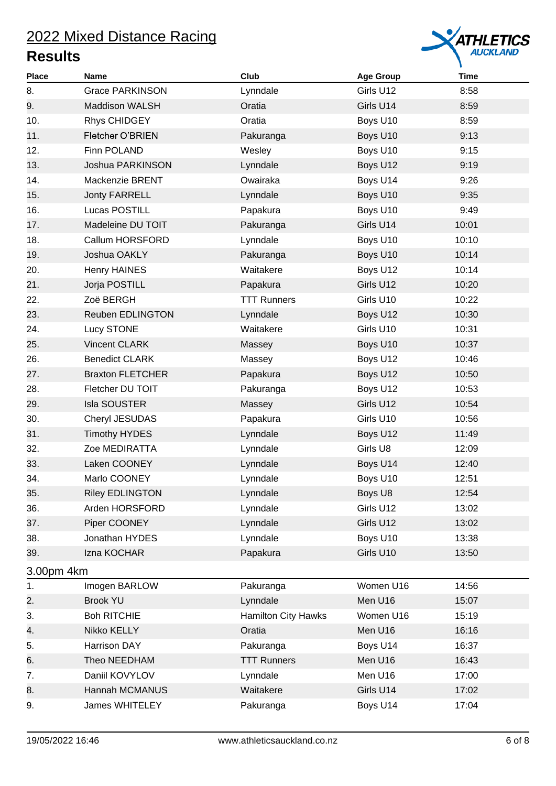

| <b>Place</b> | <b>Name</b>             | Club                       | <b>Age Group</b> | <b>Time</b> |
|--------------|-------------------------|----------------------------|------------------|-------------|
| 8.           | <b>Grace PARKINSON</b>  | Lynndale                   | Girls U12        | 8:58        |
| 9.           | <b>Maddison WALSH</b>   | Oratia                     | Girls U14        | 8:59        |
| 10.          | Rhys CHIDGEY            | Oratia                     | Boys U10         | 8:59        |
| 11.          | Fletcher O'BRIEN        | Pakuranga                  | Boys U10         | 9:13        |
| 12.          | Finn POLAND             | Wesley                     | Boys U10         | 9:15        |
| 13.          | Joshua PARKINSON        | Lynndale                   | Boys U12         | 9:19        |
| 14.          | Mackenzie BRENT         | Owairaka                   | Boys U14         | 9:26        |
| 15.          | Jonty FARRELL           | Lynndale                   | Boys U10         | 9:35        |
| 16.          | Lucas POSTILL           | Papakura                   | Boys U10         | 9:49        |
| 17.          | Madeleine DU TOIT       | Pakuranga                  | Girls U14        | 10:01       |
| 18.          | Callum HORSFORD         | Lynndale                   | Boys U10         | 10:10       |
| 19.          | Joshua OAKLY            | Pakuranga                  | Boys U10         | 10:14       |
| 20.          | Henry HAINES            | Waitakere                  | Boys U12         | 10:14       |
| 21.          | Jorja POSTILL           | Papakura                   | Girls U12        | 10:20       |
| 22.          | Zoë BERGH               | <b>TTT Runners</b>         | Girls U10        | 10:22       |
| 23.          | <b>Reuben EDLINGTON</b> | Lynndale                   | Boys U12         | 10:30       |
| 24.          | Lucy STONE              | Waitakere                  | Girls U10        | 10:31       |
| 25.          | <b>Vincent CLARK</b>    | Massey                     | Boys U10         | 10:37       |
| 26.          | <b>Benedict CLARK</b>   | Massey                     | Boys U12         | 10:46       |
| 27.          | <b>Braxton FLETCHER</b> | Papakura                   | Boys U12         | 10:50       |
| 28.          | Fletcher DU TOIT        | Pakuranga                  | Boys U12         | 10:53       |
| 29.          | Isla SOUSTER            | Massey                     | Girls U12        | 10:54       |
| 30.          | Cheryl JESUDAS          | Papakura                   | Girls U10        | 10:56       |
| 31.          | <b>Timothy HYDES</b>    | Lynndale                   | Boys U12         | 11:49       |
| 32.          | Zoe MEDIRATTA           | Lynndale                   | Girls U8         | 12:09       |
| 33.          | Laken COONEY            | Lynndale                   | Boys U14         | 12:40       |
| 34.          | Marlo COONEY            | Lynndale                   | Boys U10         | 12:51       |
| 35.          | <b>Riley EDLINGTON</b>  | Lynndale                   | Boys U8          | 12:54       |
| 36.          | Arden HORSFORD          | Lynndale                   | Girls U12        | 13:02       |
| 37.          | Piper COONEY            | Lynndale                   | Girls U12        | 13:02       |
| 38.          | Jonathan HYDES          | Lynndale                   | Boys U10         | 13:38       |
| 39.          | Izna KOCHAR             | Papakura                   | Girls U10        | 13:50       |
| 3.00pm 4km   |                         |                            |                  |             |
| 1.           | Imogen BARLOW           | Pakuranga                  | Women U16        | 14:56       |
| 2.           | <b>Brook YU</b>         | Lynndale                   | Men U16          | 15:07       |
| 3.           | <b>Boh RITCHIE</b>      | <b>Hamilton City Hawks</b> | Women U16        | 15:19       |
| 4.           | Nikko KELLY             | Oratia                     | Men U16          | 16:16       |
| 5.           | Harrison DAY            | Pakuranga                  | Boys U14         | 16:37       |
| 6.           | Theo NEEDHAM            | <b>TTT Runners</b>         | Men U16          | 16:43       |
| 7.           | Daniil KOVYLOV          | Lynndale                   | Men U16          | 17:00       |
| 8.           | Hannah MCMANUS          | Waitakere                  | Girls U14        | 17:02       |
| 9.           | <b>James WHITELEY</b>   | Pakuranga                  | Boys U14         | 17:04       |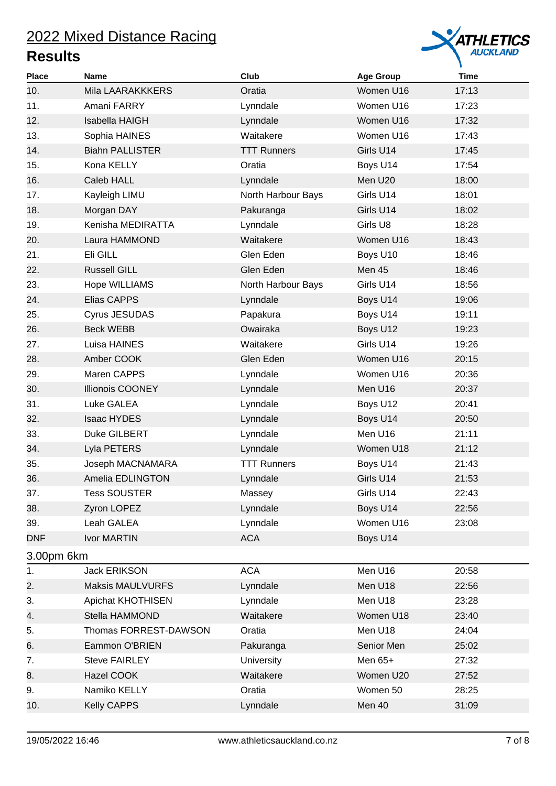

| <b>Place</b> | Name                    | Club               | <b>Age Group</b> | <b>Time</b> |
|--------------|-------------------------|--------------------|------------------|-------------|
| 10.          | Mila LAARAKKKERS        | Oratia             | Women U16        | 17:13       |
| 11.          | Amani FARRY             | Lynndale           | Women U16        | 17:23       |
| 12.          | Isabella HAIGH          | Lynndale           | Women U16        | 17:32       |
| 13.          | Sophia HAINES           | Waitakere          | Women U16        | 17:43       |
| 14.          | <b>Biahn PALLISTER</b>  | <b>TTT Runners</b> | Girls U14        | 17:45       |
| 15.          | Kona KELLY              | Oratia             | Boys U14         | 17:54       |
| 16.          | Caleb HALL              | Lynndale           | Men U20          | 18:00       |
| 17.          | Kayleigh LIMU           | North Harbour Bays | Girls U14        | 18:01       |
| 18.          | Morgan DAY              | Pakuranga          | Girls U14        | 18:02       |
| 19.          | Kenisha MEDIRATTA       | Lynndale           | Girls U8         | 18:28       |
| 20.          | Laura HAMMOND           | Waitakere          | Women U16        | 18:43       |
| 21.          | Eli GILL                | Glen Eden          | Boys U10         | 18:46       |
| 22.          | <b>Russell GILL</b>     | Glen Eden          | Men 45           | 18:46       |
| 23.          | Hope WILLIAMS           | North Harbour Bays | Girls U14        | 18:56       |
| 24.          | Elias CAPPS             | Lynndale           | Boys U14         | 19:06       |
| 25.          | Cyrus JESUDAS           | Papakura           | Boys U14         | 19:11       |
| 26.          | <b>Beck WEBB</b>        | Owairaka           | Boys U12         | 19:23       |
| 27.          | Luisa HAINES            | Waitakere          | Girls U14        | 19:26       |
| 28.          | Amber COOK              | Glen Eden          | Women U16        | 20:15       |
| 29.          | Maren CAPPS             | Lynndale           | Women U16        | 20:36       |
| 30.          | <b>Illionois COONEY</b> | Lynndale           | Men U16          | 20:37       |
| 31.          | Luke GALEA              | Lynndale           | Boys U12         | 20:41       |
| 32.          | <b>Isaac HYDES</b>      | Lynndale           | Boys U14         | 20:50       |
| 33.          | Duke GILBERT            | Lynndale           | Men U16          | 21:11       |
| 34.          | Lyla PETERS             | Lynndale           | Women U18        | 21:12       |
| 35.          | Joseph MACNAMARA        | <b>TTT Runners</b> | Boys U14         | 21:43       |
| 36.          | Amelia EDLINGTON        | Lynndale           | Girls U14        | 21:53       |
| 37.          | <b>Tess SOUSTER</b>     | Massey             | Girls U14        | 22:43       |
| 38.          | Zyron LOPEZ             | Lynndale           | Boys U14         | 22:56       |
| 39.          | Leah GALEA              | Lynndale           | Women U16        | 23:08       |
| <b>DNF</b>   | Ivor MARTIN             | <b>ACA</b>         | Boys U14         |             |
| 3.00pm 6km   |                         |                    |                  |             |
| 1.           | <b>Jack ERIKSON</b>     | <b>ACA</b>         | Men U16          | 20:58       |
| 2.           | <b>Maksis MAULVURFS</b> | Lynndale           | Men U18          | 22:56       |
| 3.           | Apichat KHOTHISEN       | Lynndale           | Men U18          | 23:28       |
| 4.           | Stella HAMMOND          | Waitakere          | Women U18        | 23:40       |
| 5.           | Thomas FORREST-DAWSON   | Oratia             | Men U18          | 24:04       |
| 6.           | Eammon O'BRIEN          | Pakuranga          | Senior Men       | 25:02       |
| 7.           | <b>Steve FAIRLEY</b>    | University         | Men 65+          | 27:32       |
| 8.           | Hazel COOK              | Waitakere          | Women U20        | 27:52       |
| 9.           | Namiko KELLY            | Oratia             | Women 50         | 28:25       |
| 10.          | <b>Kelly CAPPS</b>      | Lynndale           | Men 40           | 31:09       |